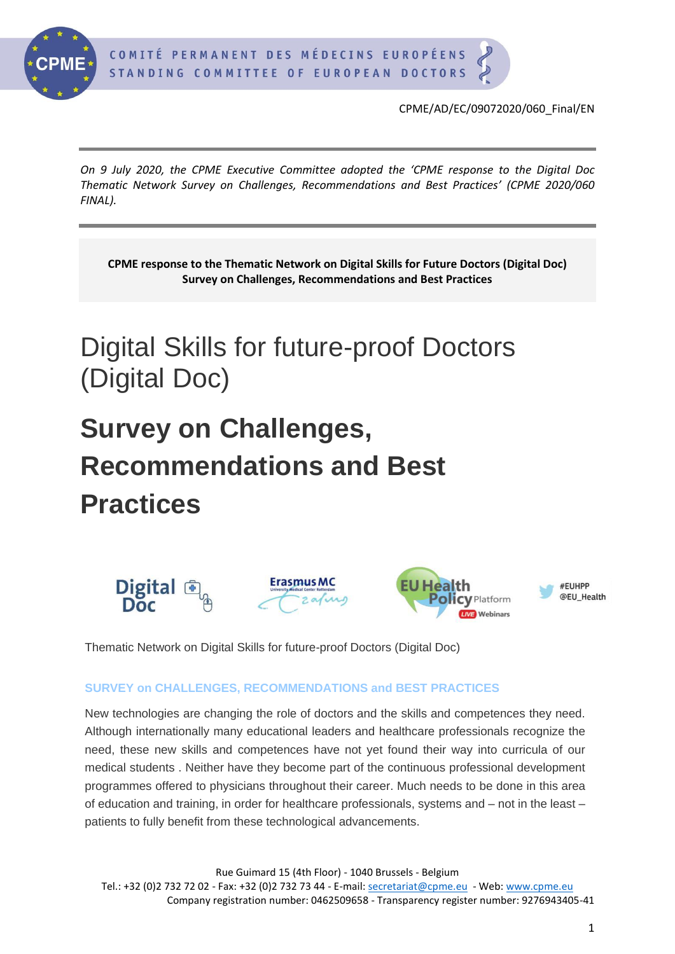

*On 9 July 2020, the CPME Executive Committee adopted the 'CPME response to the Digital Doc Thematic Network Survey on Challenges, Recommendations and Best Practices' (CPME 2020/060 FINAL).*

**CPME response to the Thematic Network on Digital Skills for Future Doctors (Digital Doc) Survey on Challenges, Recommendations and Best Practices**

# Digital Skills for future-proof Doctors (Digital Doc)

# **Survey on Challenges, Recommendations and Best Practices**



Thematic Network on Digital Skills for future-proof Doctors (Digital Doc)

#### **SURVEY on CHALLENGES, RECOMMENDATIONS and BEST PRACTICES**

New technologies are changing the role of doctors and the skills and competences they need. Although internationally many educational leaders and healthcare professionals recognize the need, these new skills and competences have not yet found their way into curricula of our medical students . Neither have they become part of the continuous professional development programmes offered to physicians throughout their career. Much needs to be done in this area of education and training, in order for healthcare professionals, systems and – not in the least – patients to fully benefit from these technological advancements.

Rue Guimard 15 (4th Floor) - 1040 Brussels - Belgium Tel.: +32 (0)2 732 72 02 - Fax: +32 (0)2 732 73 44 - E-mail: [secretariat@cpme.eu](mailto:secretariat@cpme.eu) - Web[: www.cpme.eu](http://www.cpme.eu/) Company registration number: 0462509658 - Transparency register number: 9276943405-41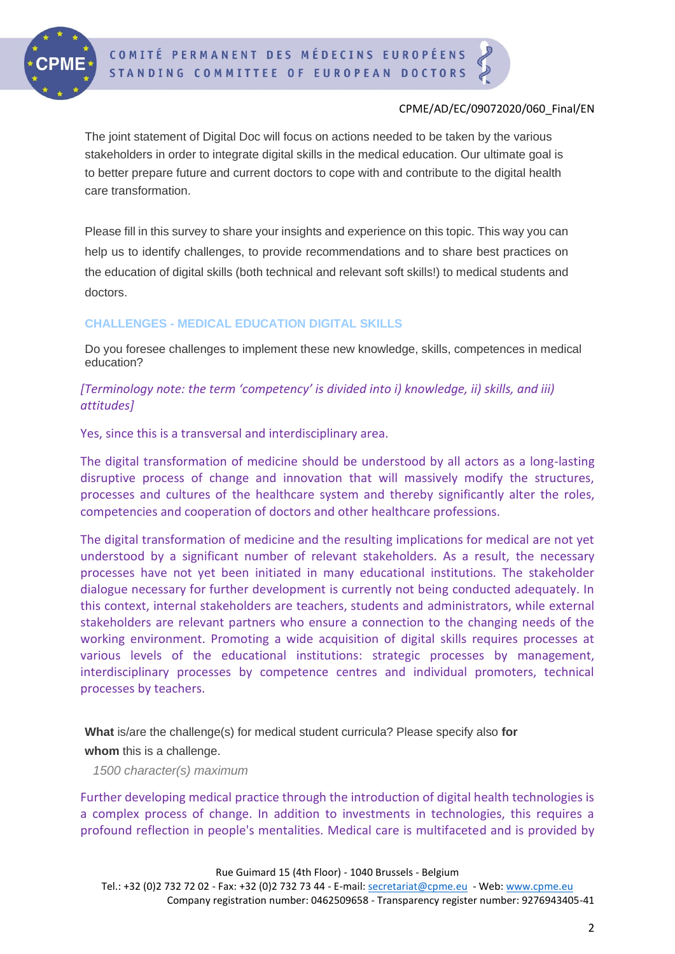

The joint statement of Digital Doc will focus on actions needed to be taken by the various stakeholders in order to integrate digital skills in the medical education. Our ultimate goal is to better prepare future and current doctors to cope with and contribute to the digital health care transformation.

Please fill in this survey to share your insights and experience on this topic. This way you can help us to identify challenges, to provide recommendations and to share best practices on the education of digital skills (both technical and relevant soft skills!) to medical students and doctors.

# **CHALLENGES - MEDICAL EDUCATION DIGITAL SKILLS**

Do you foresee challenges to implement these new knowledge, skills, competences in medical education?

# *[Terminology note: the term 'competency' is divided into i) knowledge, ii) skills, and iii) attitudes]*

Yes, since this is a transversal and interdisciplinary area.

The digital transformation of medicine should be understood by all actors as a long-lasting disruptive process of change and innovation that will massively modify the structures, processes and cultures of the healthcare system and thereby significantly alter the roles, competencies and cooperation of doctors and other healthcare professions.

The digital transformation of medicine and the resulting implications for medical are not yet understood by a significant number of relevant stakeholders. As a result, the necessary processes have not yet been initiated in many educational institutions. The stakeholder dialogue necessary for further development is currently not being conducted adequately. In this context, internal stakeholders are teachers, students and administrators, while external stakeholders are relevant partners who ensure a connection to the changing needs of the working environment. Promoting a wide acquisition of digital skills requires processes at various levels of the educational institutions: strategic processes by management, interdisciplinary processes by competence centres and individual promoters, technical processes by teachers.

**What** is/are the challenge(s) for medical student curricula? Please specify also **for** 

# **whom** this is a challenge.

*1500 character(s) maximum*

Further developing medical practice through the introduction of digital health technologies is a complex process of change. In addition to investments in technologies, this requires a profound reflection in people's mentalities. Medical care is multifaceted and is provided by

Rue Guimard 15 (4th Floor) - 1040 Brussels - Belgium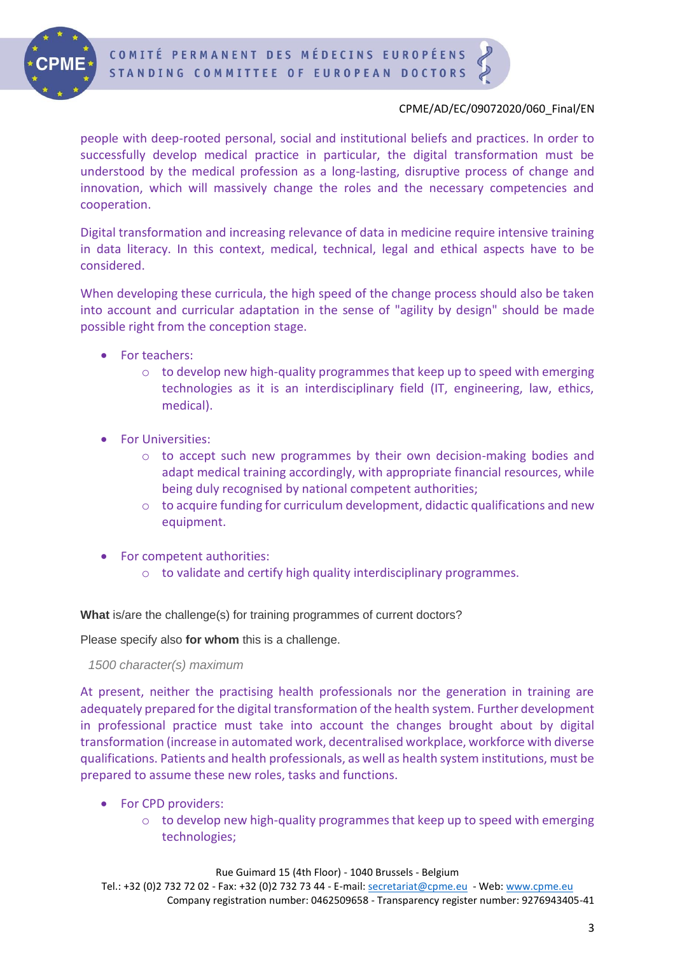

people with deep-rooted personal, social and institutional beliefs and practices. In order to successfully develop medical practice in particular, the digital transformation must be understood by the medical profession as a long-lasting, disruptive process of change and innovation, which will massively change the roles and the necessary competencies and cooperation.

Digital transformation and increasing relevance of data in medicine require intensive training in data literacy. In this context, medical, technical, legal and ethical aspects have to be considered.

When developing these curricula, the high speed of the change process should also be taken into account and curricular adaptation in the sense of "agility by design" should be made possible right from the conception stage.

- For teachers:
	- $\circ$  to develop new high-quality programmes that keep up to speed with emerging technologies as it is an interdisciplinary field (IT, engineering, law, ethics, medical).
- For Universities:
	- o to accept such new programmes by their own decision-making bodies and adapt medical training accordingly, with appropriate financial resources, while being duly recognised by national competent authorities;
	- $\circ$  to acquire funding for curriculum development, didactic qualifications and new equipment.
- For competent authorities:
	- o to validate and certify high quality interdisciplinary programmes.

**What** is/are the challenge(s) for training programmes of current doctors?

Please specify also **for whom** this is a challenge.

*1500 character(s) maximum*

At present, neither the practising health professionals nor the generation in training are adequately prepared for the digital transformation of the health system. Further development in professional practice must take into account the changes brought about by digital transformation (increase in automated work, decentralised workplace, workforce with diverse qualifications. Patients and health professionals, as well as health system institutions, must be prepared to assume these new roles, tasks and functions.

- For CPD providers:
	- $\circ$  to develop new high-quality programmes that keep up to speed with emerging technologies;

Rue Guimard 15 (4th Floor) - 1040 Brussels - Belgium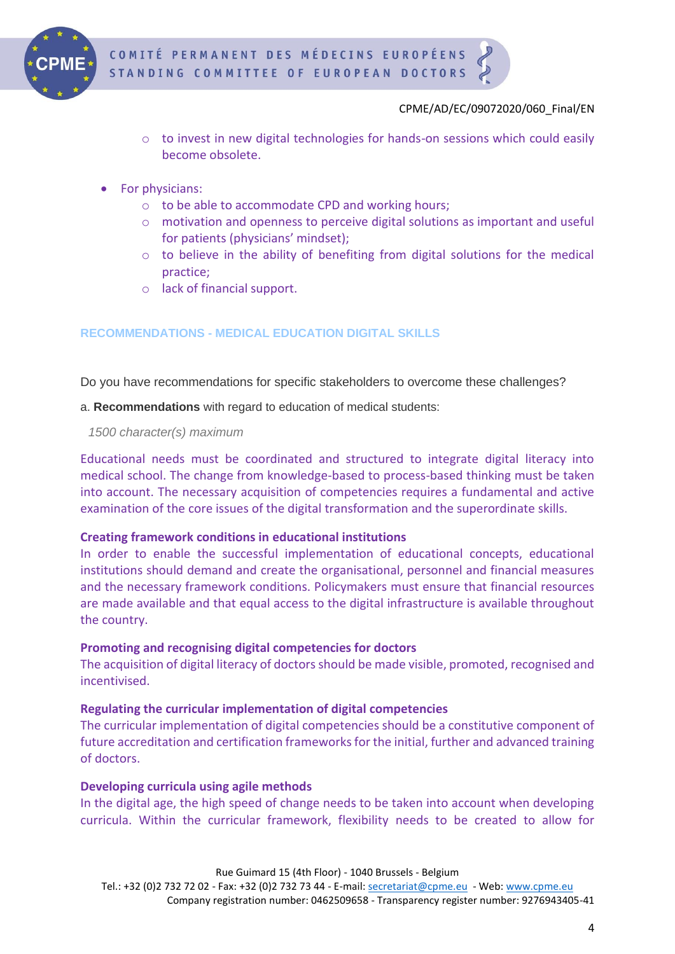

- $\circ$  to invest in new digital technologies for hands-on sessions which could easily become obsolete.
- For physicians:
	- o to be able to accommodate CPD and working hours;
	- o motivation and openness to perceive digital solutions as important and useful for patients (physicians' mindset);
	- $\circ$  to believe in the ability of benefiting from digital solutions for the medical practice;
	- o lack of financial support.

# **RECOMMENDATIONS - MEDICAL EDUCATION DIGITAL SKILLS**

Do you have recommendations for specific stakeholders to overcome these challenges?

a. **Recommendations** with regard to education of medical students:

*1500 character(s) maximum*

Educational needs must be coordinated and structured to integrate digital literacy into medical school. The change from knowledge-based to process-based thinking must be taken into account. The necessary acquisition of competencies requires a fundamental and active examination of the core issues of the digital transformation and the superordinate skills.

# **Creating framework conditions in educational institutions**

In order to enable the successful implementation of educational concepts, educational institutions should demand and create the organisational, personnel and financial measures and the necessary framework conditions. Policymakers must ensure that financial resources are made available and that equal access to the digital infrastructure is available throughout the country.

# **Promoting and recognising digital competencies for doctors**

The acquisition of digital literacy of doctors should be made visible, promoted, recognised and incentivised.

# **Regulating the curricular implementation of digital competencies**

The curricular implementation of digital competencies should be a constitutive component of future accreditation and certification frameworks for the initial, further and advanced training of doctors.

# **Developing curricula using agile methods**

In the digital age, the high speed of change needs to be taken into account when developing curricula. Within the curricular framework, flexibility needs to be created to allow for

Rue Guimard 15 (4th Floor) - 1040 Brussels - Belgium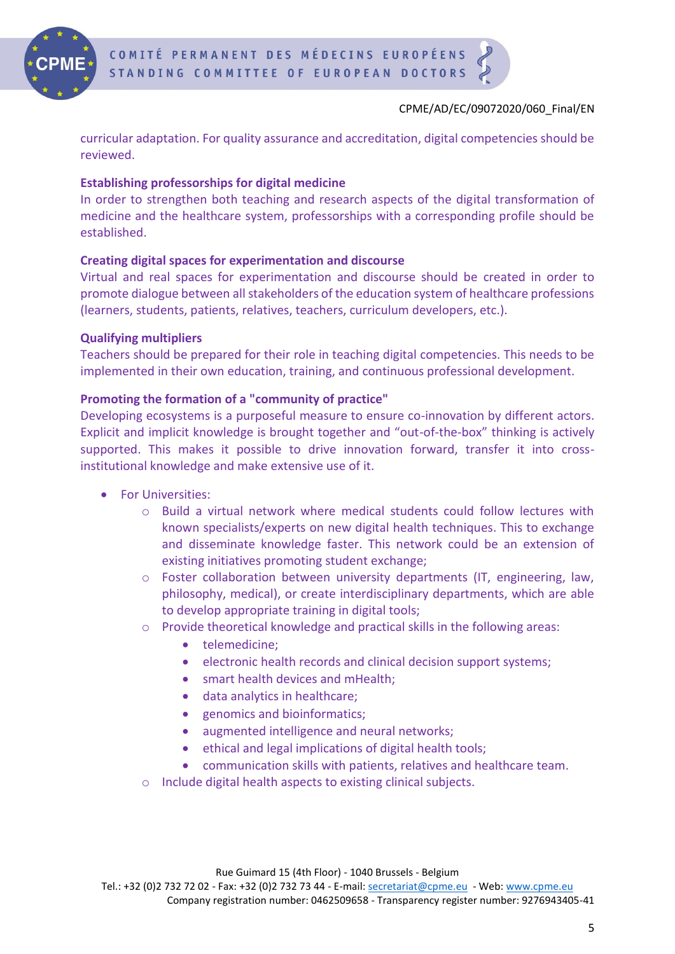

curricular adaptation. For quality assurance and accreditation, digital competencies should be reviewed.

# **Establishing professorships for digital medicine**

In order to strengthen both teaching and research aspects of the digital transformation of medicine and the healthcare system, professorships with a corresponding profile should be established.

# **Creating digital spaces for experimentation and discourse**

Virtual and real spaces for experimentation and discourse should be created in order to promote dialogue between all stakeholders of the education system of healthcare professions (learners, students, patients, relatives, teachers, curriculum developers, etc.).

# **Qualifying multipliers**

Teachers should be prepared for their role in teaching digital competencies. This needs to be implemented in their own education, training, and continuous professional development.

# **Promoting the formation of a "community of practice"**

Developing ecosystems is a purposeful measure to ensure co-innovation by different actors. Explicit and implicit knowledge is brought together and "out-of-the-box" thinking is actively supported. This makes it possible to drive innovation forward, transfer it into crossinstitutional knowledge and make extensive use of it.

- For Universities:
	- o Build a virtual network where medical students could follow lectures with known specialists/experts on new digital health techniques. This to exchange and disseminate knowledge faster. This network could be an extension of existing initiatives promoting student exchange;
	- $\circ$  Foster collaboration between university departments (IT, engineering, law, philosophy, medical), or create interdisciplinary departments, which are able to develop appropriate training in digital tools;
	- o Provide theoretical knowledge and practical skills in the following areas:
		- telemedicine;
		- electronic health records and clinical decision support systems;
		- smart health devices and mHealth;
		- data analytics in healthcare;
		- genomics and bioinformatics:
		- augmented intelligence and neural networks;
		- ethical and legal implications of digital health tools;
		- communication skills with patients, relatives and healthcare team.
	- o Include digital health aspects to existing clinical subjects.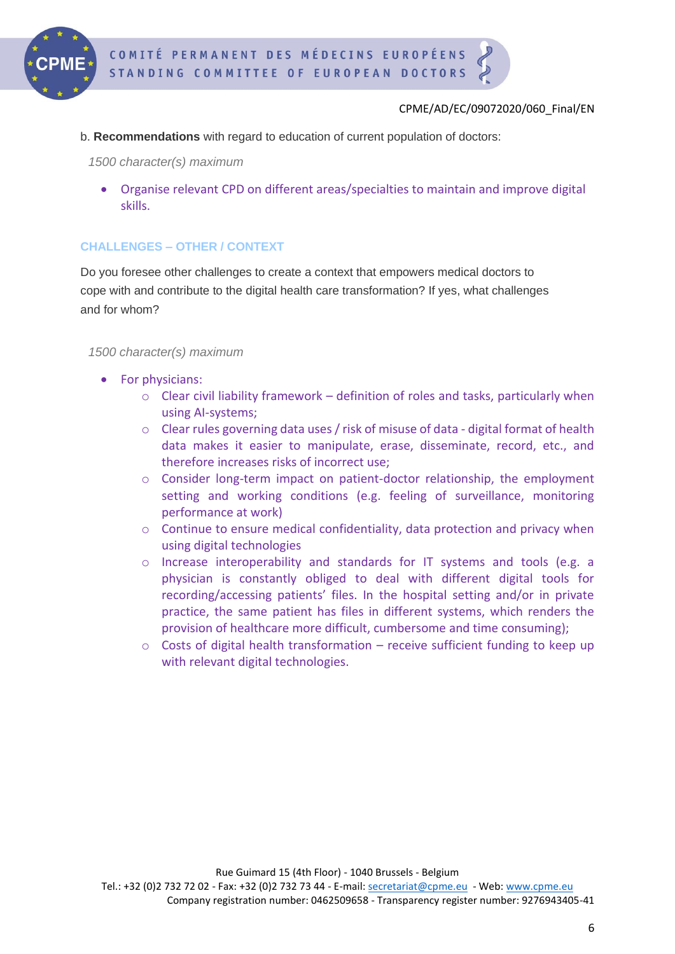

b. **Recommendations** with regard to education of current population of doctors:

*1500 character(s) maximum*

• Organise relevant CPD on different areas/specialties to maintain and improve digital skills.

# **CHALLENGES – OTHER / CONTEXT**

Do you foresee other challenges to create a context that empowers medical doctors to cope with and contribute to the digital health care transformation? If yes, what challenges and for whom?

#### *1500 character(s) maximum*

- For physicians:
	- $\circ$  Clear civil liability framework definition of roles and tasks, particularly when using AI-systems;
	- o Clear rules governing data uses / risk of misuse of data digital format of health data makes it easier to manipulate, erase, disseminate, record, etc., and therefore increases risks of incorrect use;
	- o Consider long-term impact on patient-doctor relationship, the employment setting and working conditions (e.g. feeling of surveillance, monitoring performance at work)
	- $\circ$  Continue to ensure medical confidentiality, data protection and privacy when using digital technologies
	- o Increase interoperability and standards for IT systems and tools (e.g. a physician is constantly obliged to deal with different digital tools for recording/accessing patients' files. In the hospital setting and/or in private practice, the same patient has files in different systems, which renders the provision of healthcare more difficult, cumbersome and time consuming);
	- $\circ$  Costs of digital health transformation receive sufficient funding to keep up with relevant digital technologies.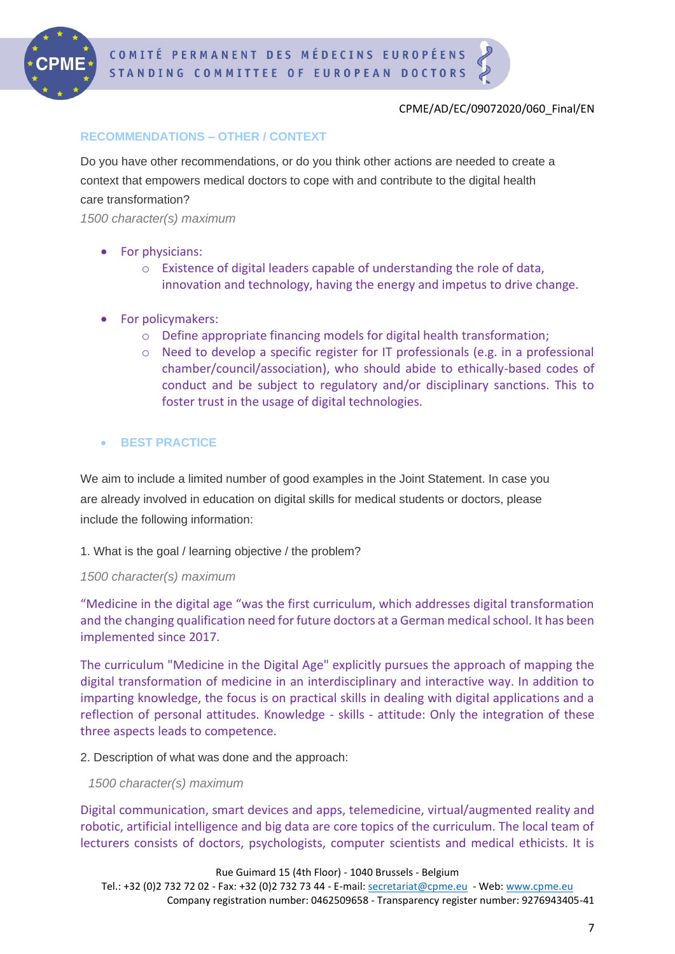

#### **RECOMMENDATIONS – OTHER / CONTEXT**

Do you have other recommendations, or do you think other actions are needed to create a context that empowers medical doctors to cope with and contribute to the digital health care transformation?

*1500 character(s) maximum*

- For physicians:
	- o Existence of digital leaders capable of understanding the role of data, innovation and technology, having the energy and impetus to drive change.
- For policymakers:
	- o Define appropriate financing models for digital health transformation;
	- o Need to develop a specific register for IT professionals (e.g. in a professional chamber/council/association), who should abide to ethically-based codes of conduct and be subject to regulatory and/or disciplinary sanctions. This to foster trust in the usage of digital technologies.

#### • **BEST PRACTICE**

We aim to include a limited number of good examples in the Joint Statement. In case you are already involved in education on digital skills for medical students or doctors, please include the following information:

#### 1. What is the goal / learning objective / the problem?

#### *1500 character(s) maximum*

"Medicine in the digital age "was the first curriculum, which addresses digital transformation and the changing qualification need for future doctors at a German medical school. It has been implemented since 2017.

The curriculum "Medicine in the Digital Age" explicitly pursues the approach of mapping the digital transformation of medicine in an interdisciplinary and interactive way. In addition to imparting knowledge, the focus is on practical skills in dealing with digital applications and a reflection of personal attitudes. Knowledge - skills - attitude: Only the integration of these three aspects leads to competence.

2. Description of what was done and the approach:

*1500 character(s) maximum*

Digital communication, smart devices and apps, telemedicine, virtual/augmented reality and robotic, artificial intelligence and big data are core topics of the curriculum. The local team of lecturers consists of doctors, psychologists, computer scientists and medical ethicists. It is

Rue Guimard 15 (4th Floor) - 1040 Brussels - Belgium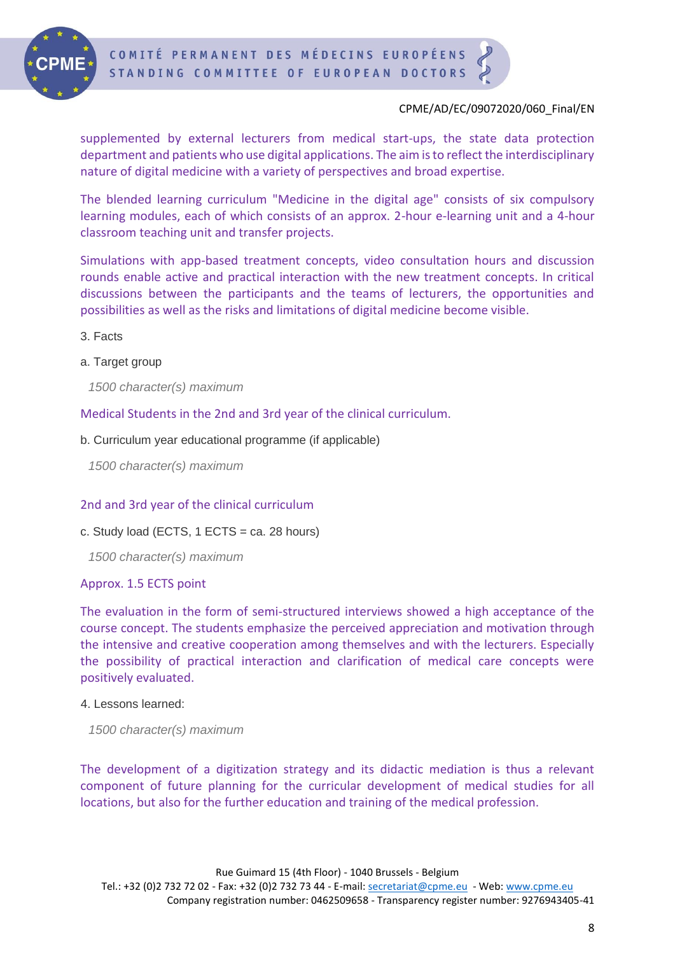

supplemented by external lecturers from medical start-ups, the state data protection department and patients who use digital applications. The aim is to reflect the interdisciplinary nature of digital medicine with a variety of perspectives and broad expertise.

The blended learning curriculum "Medicine in the digital age" consists of six compulsory learning modules, each of which consists of an approx. 2-hour e-learning unit and a 4-hour classroom teaching unit and transfer projects.

Simulations with app-based treatment concepts, video consultation hours and discussion rounds enable active and practical interaction with the new treatment concepts. In critical discussions between the participants and the teams of lecturers, the opportunities and possibilities as well as the risks and limitations of digital medicine become visible.

- 3. Facts
- a. Target group

*1500 character(s) maximum*

Medical Students in the 2nd and 3rd year of the clinical curriculum.

b. Curriculum year educational programme (if applicable)

*1500 character(s) maximum*

#### 2nd and 3rd year of the clinical curriculum

c. Study load (ECTS,  $1$  ECTS = ca. 28 hours)

*1500 character(s) maximum*

#### Approx. 1.5 ECTS point

The evaluation in the form of semi-structured interviews showed a high acceptance of the course concept. The students emphasize the perceived appreciation and motivation through the intensive and creative cooperation among themselves and with the lecturers. Especially the possibility of practical interaction and clarification of medical care concepts were positively evaluated.

#### 4. Lessons learned:

*1500 character(s) maximum*

The development of a digitization strategy and its didactic mediation is thus a relevant component of future planning for the curricular development of medical studies for all locations, but also for the further education and training of the medical profession.

Rue Guimard 15 (4th Floor) - 1040 Brussels - Belgium